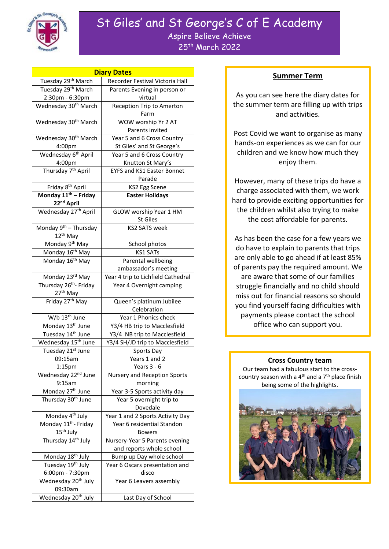

# St Giles' and St George's C of E Academy Aspire Believe Achieve 25th March 2022

| <b>Diary Dates</b>                                         |                                                            |
|------------------------------------------------------------|------------------------------------------------------------|
| Tuesday 29 <sup>th</sup> March                             | Recorder Festival Victoria Hall                            |
| Tuesday 29th March                                         | Parents Evening in person or                               |
| 2:30pm - 6:30pm                                            | virtual                                                    |
| Wednesday 30 <sup>th</sup> March                           | Reception Trip to Amerton<br>Farm                          |
| Wednesday 30 <sup>th</sup> March                           | WOW worship Yr 2 AT<br>Parents invited                     |
| Wednesday 30 <sup>th</sup> March                           | Year 5 and 6 Cross Country                                 |
| 4:00pm                                                     | St Giles' and St George's                                  |
| Wednesday 6 <sup>th</sup> April                            | Year 5 and 6 Cross Country                                 |
| 4:00pm                                                     | Knutton St Mary's                                          |
| Thursday 7 <sup>th</sup> April                             | <b>EYFS and KS1 Easter Bonnet</b><br>Parade                |
| Friday 8 <sup>th</sup> April                               | KS2 Egg Scene                                              |
| Monday 11 <sup>th</sup> - Friday                           | <b>Easter Holidays</b>                                     |
| 22 <sup>nd</sup> April                                     |                                                            |
| Wednesday 27 <sup>th</sup> April                           | GLOW worship Year 1 HM<br><b>St Giles</b>                  |
| Monday 9 <sup>th</sup> - Thursday                          | <b>KS2 SATS week</b>                                       |
| 12 <sup>th</sup> May                                       |                                                            |
| Monday 9 <sup>th</sup> May                                 | School photos                                              |
| Monday 16 <sup>th</sup> May                                | <b>KS1 SATs</b>                                            |
| Monday 16 <sup>th</sup> May                                | Parental wellbeing                                         |
|                                                            | ambassador's meeting                                       |
| Monday 23rd May                                            | Year 4 trip to Lichfield Cathedral                         |
| Thursday 26 <sup>th</sup> - Friday<br>27 <sup>th</sup> May | Year 4 Overnight camping                                   |
| Friday 27 <sup>th</sup> May                                | Queen's platinum Jubilee                                   |
|                                                            | Celebration                                                |
| W/b 13 <sup>th</sup> June                                  | Year 1 Phonics check                                       |
| Monday 13 <sup>th</sup> June                               | Y3/4 HB trip to Macclesfield                               |
| Tuesday 14 <sup>th</sup> June                              | Y3/4 NB trip to Macclesfield                               |
| Wednesday 15 <sup>th</sup> June                            | Y3/4 SH/JD trip to Macclesfield                            |
| Tuesday 21st June                                          | Sports Day                                                 |
| 09:15am                                                    | Years 1 and 2                                              |
| 1:15pm                                                     | Years $3 - 6$                                              |
| Wednesday 22 <sup>nd</sup> June                            | Nursery and Reception Sports                               |
| 9:15am                                                     | morning                                                    |
| Monday 27 <sup>th</sup> June                               | Year 3-5 Sports activity day                               |
| Thursday 30 <sup>th</sup> June                             | Year 5 overnight trip to<br>Dovedale                       |
| Monday 4 <sup>th</sup> July                                | Year 1 and 2 Sports Activity Day                           |
| Monday 11 <sup>th</sup> - Friday                           | Year 6 residential Standon                                 |
| 15 <sup>th</sup> July                                      | <b>Bowers</b>                                              |
| Thursday 14 <sup>th</sup> July                             | Nursery-Year 5 Parents evening<br>and reports whole school |
| Monday 18 <sup>th</sup> July                               | Bump up Day whole school                                   |
| Tuesday 19 <sup>th</sup> July                              | Year 6 Oscars presentation and                             |
| 6:00pm - 7:30pm                                            | disco                                                      |
| Wednesday 20 <sup>th</sup> July                            | Year 6 Leavers assembly                                    |
| 09:30am                                                    |                                                            |
| Wednesday 20 <sup>th</sup> July                            | Last Day of School                                         |

### **Summer Term**

As you can see here the diary dates for the summer term are filling up with trips and activities.

Post Covid we want to organise as many hands-on experiences as we can for our children and we know how much they enjoy them.

However, many of these trips do have a charge associated with them, we work hard to provide exciting opportunities for the children whilst also trying to make the cost affordable for parents.

As has been the case for a few years we do have to explain to parents that trips are only able to go ahead if at least 85% of parents pay the required amount. We are aware that some of our families struggle financially and no child should miss out for financial reasons so should you find yourself facing difficulties with payments please contact the school office who can support you.